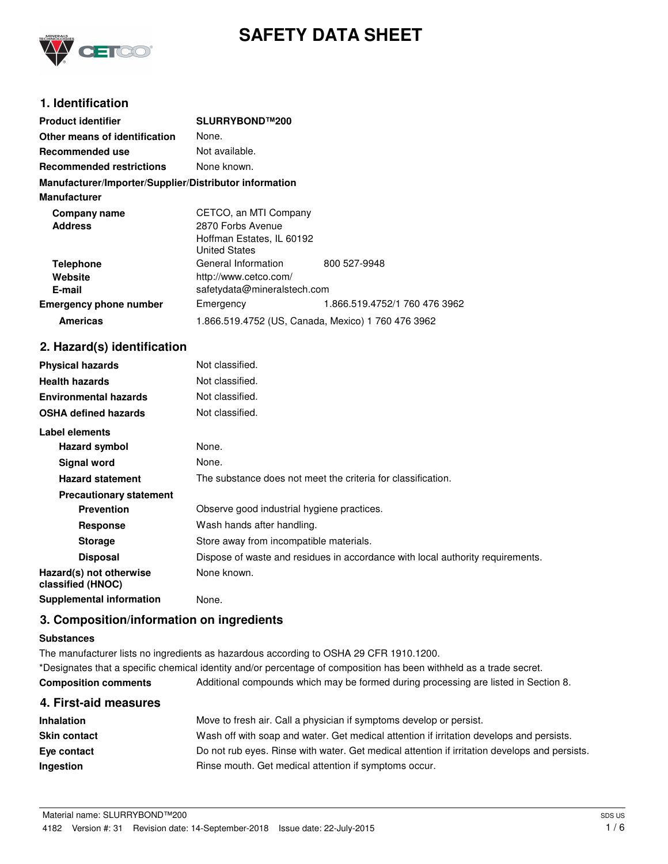

# **SAFETY DATA SHEET**

# **1. Identification**

| <b>Product identifier</b>                              | SLURRYBOND™200                                     |                               |  |
|--------------------------------------------------------|----------------------------------------------------|-------------------------------|--|
| Other means of identification                          | None.                                              |                               |  |
| Recommended use                                        | Not available.                                     |                               |  |
| <b>Recommended restrictions</b>                        | None known.                                        |                               |  |
| Manufacturer/Importer/Supplier/Distributor information |                                                    |                               |  |
| <b>Manufacturer</b>                                    |                                                    |                               |  |
| Company name                                           | CETCO, an MTI Company                              |                               |  |
| <b>Address</b>                                         | 2870 Forbs Avenue                                  |                               |  |
|                                                        | Hoffman Estates, IL 60192                          |                               |  |
|                                                        | <b>United States</b>                               |                               |  |
| <b>Telephone</b>                                       | General Information                                | 800 527-9948                  |  |
| Website                                                | http://www.cetco.com/                              |                               |  |
| E-mail                                                 | safetydata@mineralstech.com                        |                               |  |
| <b>Emergency phone number</b>                          | Emergency                                          | 1.866.519.4752/1 760 476 3962 |  |
| <b>Americas</b>                                        | 1.866.519.4752 (US, Canada, Mexico) 1 760 476 3962 |                               |  |

### **2. Hazard(s) identification**

| <b>Physical hazards</b>                      | Not classified.                                                                |
|----------------------------------------------|--------------------------------------------------------------------------------|
| <b>Health hazards</b>                        | Not classified.                                                                |
| <b>Environmental hazards</b>                 | Not classified.                                                                |
| <b>OSHA defined hazards</b>                  | Not classified.                                                                |
| Label elements                               |                                                                                |
| Hazard symbol                                | None.                                                                          |
| Signal word                                  | None.                                                                          |
| <b>Hazard statement</b>                      | The substance does not meet the criteria for classification.                   |
| <b>Precautionary statement</b>               |                                                                                |
| <b>Prevention</b>                            | Observe good industrial hygiene practices.                                     |
| <b>Response</b>                              | Wash hands after handling.                                                     |
| <b>Storage</b>                               | Store away from incompatible materials.                                        |
| <b>Disposal</b>                              | Dispose of waste and residues in accordance with local authority requirements. |
| Hazard(s) not otherwise<br>classified (HNOC) | None known.                                                                    |
| <b>Supplemental information</b>              | None.                                                                          |

### **3. Composition/information on ingredients**

#### **Substances**

The manufacturer lists no ingredients as hazardous according to OSHA 29 CFR 1910.1200. \*Designates that a specific chemical identity and/or percentage of composition has been withheld as a trade secret. **Composition comments** Additional compounds which may be formed during processing are listed in Section 8.

| 4. First-aid measures |                                                                                               |
|-----------------------|-----------------------------------------------------------------------------------------------|
| Inhalation            | Move to fresh air. Call a physician if symptoms develop or persist.                           |
| <b>Skin contact</b>   | Wash off with soap and water. Get medical attention if irritation develops and persists.      |
| Eye contact           | Do not rub eyes. Rinse with water. Get medical attention if irritation develops and persists. |
| Ingestion             | Rinse mouth. Get medical attention if symptoms occur.                                         |
|                       |                                                                                               |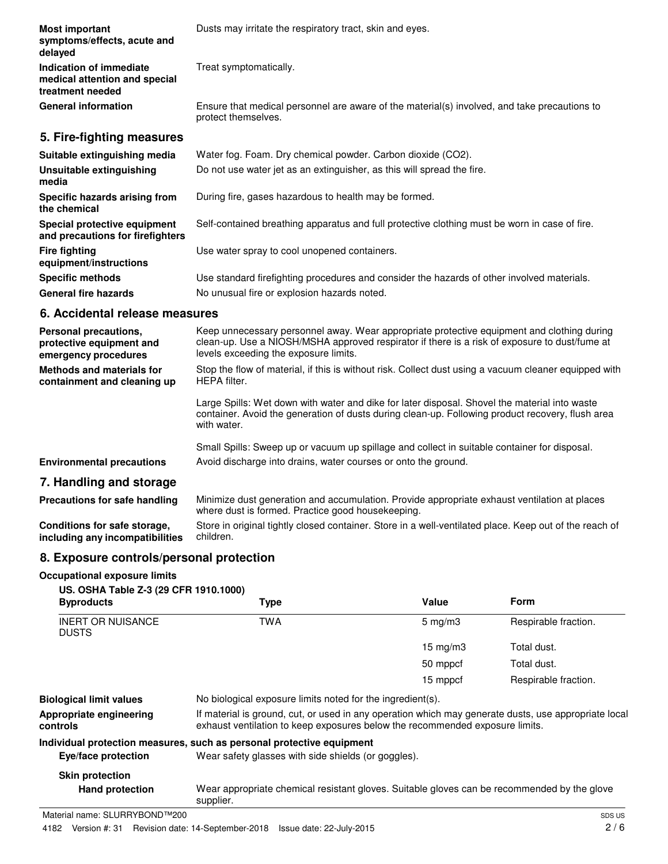| <b>Most important</b><br>symptoms/effects, acute and<br>delayed              | Dusts may irritate the respiratory tract, skin and eyes.                                                            |
|------------------------------------------------------------------------------|---------------------------------------------------------------------------------------------------------------------|
| Indication of immediate<br>medical attention and special<br>treatment needed | Treat symptomatically.                                                                                              |
| <b>General information</b>                                                   | Ensure that medical personnel are aware of the material(s) involved, and take precautions to<br>protect themselves. |
| 5. Fire-fighting measures                                                    |                                                                                                                     |
| Suitable extinguishing media                                                 | Water fog. Foam. Dry chemical powder. Carbon dioxide (CO2).                                                         |
| Unsuitable extinguishing<br>media                                            | Do not use water jet as an extinguisher, as this will spread the fire.                                              |
| Specific hazards arising from<br>the chemical                                | During fire, gases hazardous to health may be formed.                                                               |
| Special protective equipment<br>and precautions for firefighters             | Self-contained breathing apparatus and full protective clothing must be worn in case of fire.                       |
| <b>Fire fighting</b><br>equipment/instructions                               | Use water spray to cool unopened containers.                                                                        |
| <b>Specific methods</b>                                                      | Use standard firefighting procedures and consider the hazards of other involved materials.                          |
| <b>General fire hazards</b>                                                  | No unusual fire or explosion hazards noted.                                                                         |

### **6. Accidental release measures**

| Personal precautions,<br>protective equipment and<br>emergency procedures | Keep unnecessary personnel away. Wear appropriate protective equipment and clothing during<br>clean-up. Use a NIOSH/MSHA approved respirator if there is a risk of exposure to dust/fume at<br>levels exceeding the exposure limits. |
|---------------------------------------------------------------------------|--------------------------------------------------------------------------------------------------------------------------------------------------------------------------------------------------------------------------------------|
| <b>Methods and materials for</b><br>containment and cleaning up           | Stop the flow of material, if this is without risk. Collect dust using a vacuum cleaner equipped with<br>HEPA filter.                                                                                                                |
|                                                                           | Large Spills: Wet down with water and dike for later disposal. Shovel the material into waste<br>container. Avoid the generation of dusts during clean-up. Following product recovery, flush area<br>with water.                     |
|                                                                           | Small Spills: Sweep up or vacuum up spillage and collect in suitable container for disposal.                                                                                                                                         |
| <b>Environmental precautions</b>                                          | Avoid discharge into drains, water courses or onto the ground.                                                                                                                                                                       |
| 7. Handling and storage                                                   |                                                                                                                                                                                                                                      |
| Precautions for safe handling                                             | Minimize dust generation and accumulation. Provide appropriate exhaust ventilation at places<br>where dust is formed. Practice good housekeeping.                                                                                    |
| Conditions for safe storage.                                              | Store in original tightly closed container. Store in a well-ventilated place. Keep out of the reach of                                                                                                                               |

Store in original tightly closed container. Store in a well-ventilated place. Keep out of the reach of children. **Conditions for safe storage, including any incompatibilities**

# **8. Exposure controls/personal protection**

**Occupational exposure limits**

| US. OSHA Table Z-3 (29 CFR 1910.1000)<br><b>Byproducts</b> | Type                                                                                                                                                                                 | Value              | <b>Form</b>          |
|------------------------------------------------------------|--------------------------------------------------------------------------------------------------------------------------------------------------------------------------------------|--------------------|----------------------|
| <b>INERT OR NUISANCE</b><br><b>DUSTS</b>                   | <b>TWA</b>                                                                                                                                                                           | $5 \text{ mg/m}$ 3 | Respirable fraction. |
|                                                            |                                                                                                                                                                                      | $15 \text{ mg/m}$  | Total dust.          |
|                                                            |                                                                                                                                                                                      | 50 mppcf           | Total dust.          |
|                                                            |                                                                                                                                                                                      | 15 mppcf           | Respirable fraction. |
| <b>Biological limit values</b>                             | No biological exposure limits noted for the ingredient(s).                                                                                                                           |                    |                      |
| Appropriate engineering<br>controls                        | If material is ground, cut, or used in any operation which may generate dusts, use appropriate local<br>exhaust ventilation to keep exposures below the recommended exposure limits. |                    |                      |
|                                                            | Individual protection measures, such as personal protective equipment                                                                                                                |                    |                      |
| Eye/face protection                                        | Wear safety glasses with side shields (or goggles).                                                                                                                                  |                    |                      |
| <b>Skin protection</b>                                     |                                                                                                                                                                                      |                    |                      |
| <b>Hand protection</b>                                     | Wear appropriate chemical resistant gloves. Suitable gloves can be recommended by the glove<br>supplier.                                                                             |                    |                      |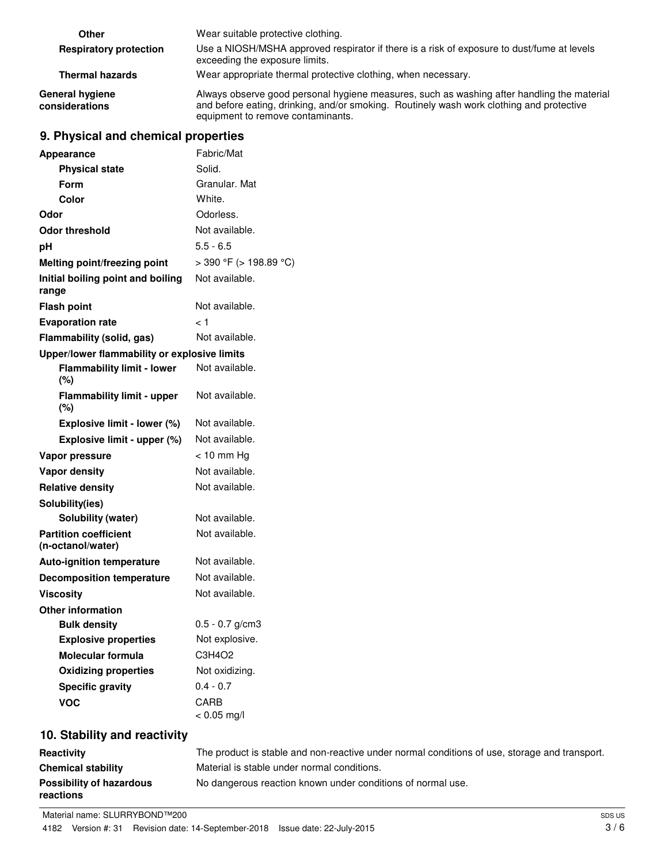| Other                             | Wear suitable protective clothing.                                                                                                                                                                                          |
|-----------------------------------|-----------------------------------------------------------------------------------------------------------------------------------------------------------------------------------------------------------------------------|
| <b>Respiratory protection</b>     | Use a NIOSH/MSHA approved respirator if there is a risk of exposure to dust/fume at levels<br>exceeding the exposure limits.                                                                                                |
| <b>Thermal hazards</b>            | Wear appropriate thermal protective clothing, when necessary.                                                                                                                                                               |
| General hygiene<br>considerations | Always observe good personal hygiene measures, such as washing after handling the material<br>and before eating, drinking, and/or smoking. Routinely wash work clothing and protective<br>equipment to remove contaminants. |

# **9. Physical and chemical properties**

| <b>Appearance</b>                                 | Fabric/Mat                   |
|---------------------------------------------------|------------------------------|
| <b>Physical state</b>                             | Solid.                       |
| Form                                              | Granular. Mat                |
| <b>Color</b>                                      | White.                       |
| Odor                                              | Odorless.                    |
| <b>Odor threshold</b>                             | Not available.               |
| рH                                                | $5.5 - 6.5$                  |
| Melting point/freezing point                      | $>$ 390 °F ( $>$ 198.89 °C)  |
| Initial boiling point and boiling<br>range        | Not available.               |
| <b>Flash point</b>                                | Not available.               |
| <b>Evaporation rate</b>                           | < 1                          |
| Flammability (solid, gas)                         | Not available.               |
| Upper/lower flammability or explosive limits      |                              |
| <b>Flammability limit - lower</b><br>$(\%)$       | Not available.               |
| <b>Flammability limit - upper</b><br>(%)          | Not available.               |
| Explosive limit - lower (%)                       | Not available.               |
| Explosive limit - upper (%)                       | Not available.               |
| Vapor pressure                                    | < 10 mm Hg                   |
| <b>Vapor density</b>                              | Not available.               |
| <b>Relative density</b>                           | Not available.               |
| Solubility(ies)                                   |                              |
| Solubility (water)                                | Not available.               |
| <b>Partition coefficient</b><br>(n-octanol/water) | Not available.               |
| <b>Auto-ignition temperature</b>                  | Not available.               |
| <b>Decomposition temperature</b>                  | Not available.               |
| <b>Viscosity</b>                                  | Not available.               |
| Other information                                 |                              |
| <b>Bulk density</b>                               | $0.5 - 0.7$ g/cm3            |
| <b>Explosive properties</b>                       | Not explosive.               |
| Molecular formula                                 | C3H4O2                       |
| <b>Oxidizing properties</b>                       | Not oxidizing.               |
| <b>Specific gravity</b>                           | $0.4 - 0.7$                  |
| <b>VOC</b>                                        | <b>CARB</b><br>$< 0.05$ mg/l |

# **10. Stability and reactivity**

| Reactivity                            | The product is stable and non-reactive under normal conditions of use, storage and transport. |
|---------------------------------------|-----------------------------------------------------------------------------------------------|
| <b>Chemical stability</b>             | Material is stable under normal conditions.                                                   |
| Possibility of hazardous<br>reactions | No dangerous reaction known under conditions of normal use.                                   |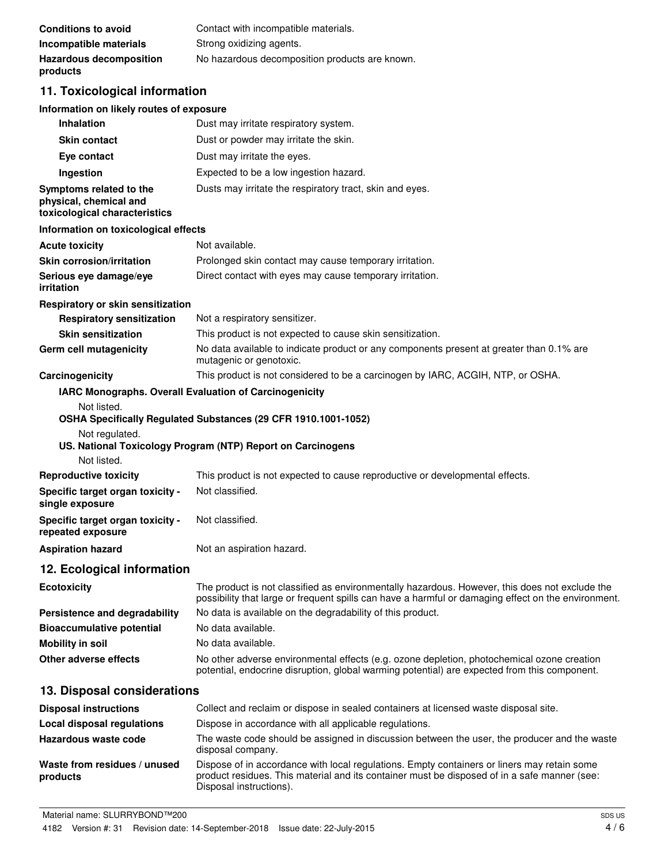| <b>Conditions to avoid</b>                 | Contact with incompatible materials.           |
|--------------------------------------------|------------------------------------------------|
| Incompatible materials                     | Strong oxidizing agents.                       |
| <b>Hazardous decomposition</b><br>products | No hazardous decomposition products are known. |

# **11. Toxicological information**

#### **Information on likely routes of exposure**

| Inhalation                                                                         | Dust may irritate respiratory system.                                                                                                                                                                 |
|------------------------------------------------------------------------------------|-------------------------------------------------------------------------------------------------------------------------------------------------------------------------------------------------------|
| <b>Skin contact</b>                                                                | Dust or powder may irritate the skin.                                                                                                                                                                 |
| Eye contact                                                                        | Dust may irritate the eyes.                                                                                                                                                                           |
| Ingestion                                                                          | Expected to be a low ingestion hazard.                                                                                                                                                                |
| Symptoms related to the<br>physical, chemical and<br>toxicological characteristics | Dusts may irritate the respiratory tract, skin and eyes.                                                                                                                                              |
| Information on toxicological effects                                               |                                                                                                                                                                                                       |
| <b>Acute toxicity</b>                                                              | Not available.                                                                                                                                                                                        |
| <b>Skin corrosion/irritation</b>                                                   | Prolonged skin contact may cause temporary irritation.                                                                                                                                                |
| Serious eye damage/eye<br>irritation                                               | Direct contact with eyes may cause temporary irritation.                                                                                                                                              |
| Respiratory or skin sensitization                                                  |                                                                                                                                                                                                       |
| <b>Respiratory sensitization</b>                                                   | Not a respiratory sensitizer.                                                                                                                                                                         |
| <b>Skin sensitization</b>                                                          | This product is not expected to cause skin sensitization.                                                                                                                                             |
| Germ cell mutagenicity                                                             | No data available to indicate product or any components present at greater than 0.1% are<br>mutagenic or genotoxic.                                                                                   |
| Carcinogenicity                                                                    | This product is not considered to be a carcinogen by IARC, ACGIH, NTP, or OSHA.                                                                                                                       |
|                                                                                    | IARC Monographs. Overall Evaluation of Carcinogenicity                                                                                                                                                |
| Not listed.<br>Not regulated.<br>Not listed.                                       | OSHA Specifically Regulated Substances (29 CFR 1910.1001-1052)<br>US. National Toxicology Program (NTP) Report on Carcinogens                                                                         |
| <b>Reproductive toxicity</b>                                                       | This product is not expected to cause reproductive or developmental effects.                                                                                                                          |
| Specific target organ toxicity -<br>single exposure                                | Not classified.                                                                                                                                                                                       |
| Specific target organ toxicity -<br>repeated exposure                              | Not classified.                                                                                                                                                                                       |
| <b>Aspiration hazard</b>                                                           | Not an aspiration hazard.                                                                                                                                                                             |
| 12. Ecological information                                                         |                                                                                                                                                                                                       |
| <b>Ecotoxicity</b>                                                                 | The product is not classified as environmentally hazardous. However, this does not exclude the<br>possibility that large or frequent spills can have a harmful or damaging effect on the environment. |
| Persistence and degradability                                                      | No data is available on the degradability of this product.                                                                                                                                            |
| <b>Bioaccumulative potential</b>                                                   | No data available.                                                                                                                                                                                    |
| <b>Mobility in soil</b>                                                            | No data available.                                                                                                                                                                                    |
| Other adverse effects                                                              | No other adverse environmental effects (e.g. ozone depletion, photochemical ozone creation<br>potential, endocrine disruption, global warming potential) are expected from this component.            |
| 13. Disposal considerations                                                        |                                                                                                                                                                                                       |
| <b>Disposal instructions</b>                                                       | Collect and reclaim or dispose in sealed containers at licensed waste disposal site.                                                                                                                  |
| <b>Local disposal regulations</b>                                                  | Dispose in accordance with all applicable regulations.                                                                                                                                                |
| Hazardous waste code                                                               | The waste code should be assigned in discussion between the user, the producer and the waste<br>disposal company.                                                                                     |
| Waste from residues / unused                                                       | Dispose of in accordance with local regulations. Empty containers or liners may retain some                                                                                                           |

product residues. This material and its container must be disposed of in a safe manner (see:

**products**

Disposal instructions).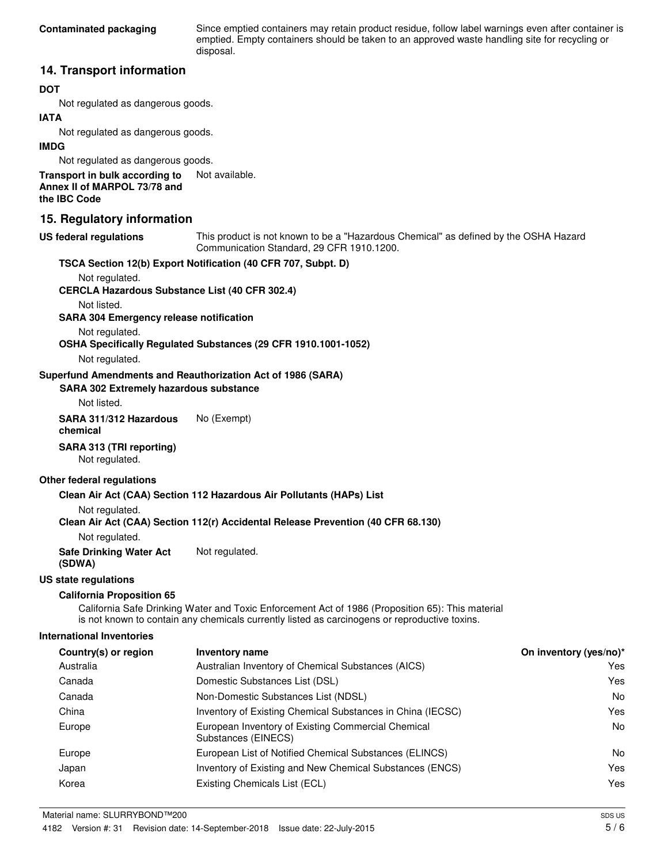Since emptied containers may retain product residue, follow label warnings even after container is emptied. Empty containers should be taken to an approved waste handling site for recycling or disposal.

### **14. Transport information**

#### **DOT**

Not regulated as dangerous goods.

#### **IATA**

Not regulated as dangerous goods.

#### **IMDG**

Not regulated as dangerous goods.

**Transport in bulk according to** Not available. **Annex II of MARPOL 73/78 and the IBC Code**

### **15. Regulatory information**

#### **US federal regulations**

This product is not known to be a "Hazardous Chemical" as defined by the OSHA Hazard Communication Standard, 29 CFR 1910.1200.

|                                                               | TSCA Section 12(b) Export Notification (40 CFR 707, Subpt. D)                                                                                                                                     |                        |
|---------------------------------------------------------------|---------------------------------------------------------------------------------------------------------------------------------------------------------------------------------------------------|------------------------|
| Not regulated.                                                |                                                                                                                                                                                                   |                        |
| <b>CERCLA Hazardous Substance List (40 CFR 302.4)</b>         |                                                                                                                                                                                                   |                        |
| Not listed.<br><b>SARA 304 Emergency release notification</b> |                                                                                                                                                                                                   |                        |
| Not regulated.                                                |                                                                                                                                                                                                   |                        |
|                                                               | OSHA Specifically Regulated Substances (29 CFR 1910.1001-1052)                                                                                                                                    |                        |
| Not regulated.                                                |                                                                                                                                                                                                   |                        |
|                                                               | Superfund Amendments and Reauthorization Act of 1986 (SARA)                                                                                                                                       |                        |
| <b>SARA 302 Extremely hazardous substance</b>                 |                                                                                                                                                                                                   |                        |
| Not listed.                                                   |                                                                                                                                                                                                   |                        |
| SARA 311/312 Hazardous<br>chemical                            | No (Exempt)                                                                                                                                                                                       |                        |
| SARA 313 (TRI reporting)<br>Not regulated.                    |                                                                                                                                                                                                   |                        |
| Other federal regulations                                     |                                                                                                                                                                                                   |                        |
|                                                               | Clean Air Act (CAA) Section 112 Hazardous Air Pollutants (HAPs) List                                                                                                                              |                        |
| Not regulated.                                                |                                                                                                                                                                                                   |                        |
|                                                               | Clean Air Act (CAA) Section 112(r) Accidental Release Prevention (40 CFR 68.130)                                                                                                                  |                        |
| Not regulated.                                                |                                                                                                                                                                                                   |                        |
| <b>Safe Drinking Water Act</b><br>(SDWA)                      | Not regulated.                                                                                                                                                                                    |                        |
| US state regulations                                          |                                                                                                                                                                                                   |                        |
| <b>California Proposition 65</b>                              |                                                                                                                                                                                                   |                        |
|                                                               | California Safe Drinking Water and Toxic Enforcement Act of 1986 (Proposition 65): This material<br>is not known to contain any chemicals currently listed as carcinogens or reproductive toxins. |                        |
| <b>International Inventories</b>                              |                                                                                                                                                                                                   |                        |
| Country(s) or region                                          | <b>Inventory name</b>                                                                                                                                                                             | On inventory (yes/no)* |
| Australia                                                     | Australian Inventory of Chemical Substances (AICS)                                                                                                                                                | Yes                    |
| Canada                                                        | Domestic Substances List (DSL)                                                                                                                                                                    | Yes                    |
| Canada                                                        | Non-Domestic Substances List (NDSL)                                                                                                                                                               | No                     |
| China                                                         | Inventory of Existing Chemical Substances in China (IECSC)                                                                                                                                        | Yes                    |
| Europe                                                        | European Inventory of Existing Commercial Chemical<br>Substances (EINECS)                                                                                                                         | No                     |
| Europe                                                        | European List of Notified Chemical Substances (ELINCS)                                                                                                                                            | No.                    |
| Japan                                                         | Inventory of Existing and New Chemical Substances (ENCS)                                                                                                                                          | Yes                    |
| Korea                                                         | Existing Chemicals List (ECL)                                                                                                                                                                     | Yes                    |
| Material name: SLURRYBOND™200                                 |                                                                                                                                                                                                   | SDS US                 |